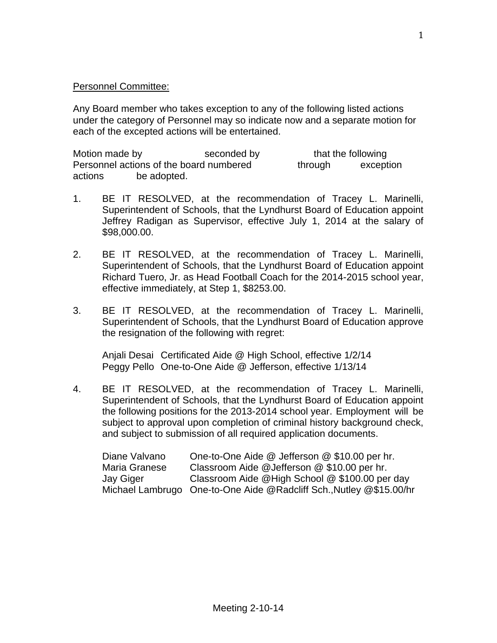## Personnel Committee:

Any Board member who takes exception to any of the following listed actions under the category of Personnel may so indicate now and a separate motion for each of the excepted actions will be entertained.

Motion made by seconded by that the following Personnel actions of the board numbered through exception actions be adopted.

- 1. BE IT RESOLVED, at the recommendation of Tracey L. Marinelli, Superintendent of Schools, that the Lyndhurst Board of Education appoint Jeffrey Radigan as Supervisor, effective July 1, 2014 at the salary of \$98,000.00.
- 2. BE IT RESOLVED, at the recommendation of Tracey L. Marinelli, Superintendent of Schools, that the Lyndhurst Board of Education appoint Richard Tuero, Jr. as Head Football Coach for the 2014-2015 school year, effective immediately, at Step 1, \$8253.00.
- 3. BE IT RESOLVED, at the recommendation of Tracey L. Marinelli, Superintendent of Schools, that the Lyndhurst Board of Education approve the resignation of the following with regret:

Anjali Desai Certificated Aide @ High School, effective 1/2/14 Peggy Pello One-to-One Aide @ Jefferson, effective 1/13/14

4. BE IT RESOLVED, at the recommendation of Tracey L. Marinelli, Superintendent of Schools, that the Lyndhurst Board of Education appoint the following positions for the 2013-2014 school year. Employment will be subject to approval upon completion of criminal history background check, and subject to submission of all required application documents.

| Diane Valvano | One-to-One Aide @ Jefferson @ \$10.00 per hr.                       |
|---------------|---------------------------------------------------------------------|
| Maria Granese | Classroom Aide @Jefferson @ \$10.00 per hr.                         |
| Jay Giger     | Classroom Aide @High School @ \$100.00 per day                      |
|               | Michael Lambrugo One-to-One Aide @Radcliff Sch., Nutley @\$15.00/hr |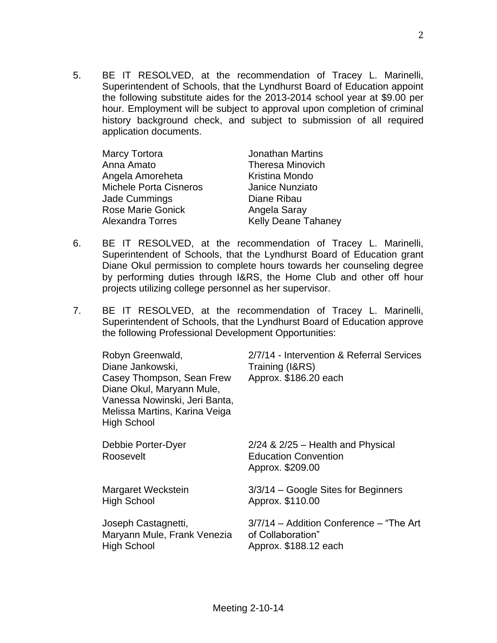5. BE IT RESOLVED, at the recommendation of Tracey L. Marinelli, Superintendent of Schools, that the Lyndhurst Board of Education appoint the following substitute aides for the 2013-2014 school year at \$9.00 per hour. Employment will be subject to approval upon completion of criminal history background check, and subject to submission of all required application documents.

| Marcy Tortora                 | <b>Jonathan Martins</b>    |
|-------------------------------|----------------------------|
| Anna Amato                    | <b>Theresa Minovich</b>    |
| Angela Amoreheta              | Kristina Mondo             |
| <b>Michele Porta Cisneros</b> | Janice Nunziato            |
| Jade Cummings                 | Diane Ribau                |
| <b>Rose Marie Gonick</b>      | Angela Saray               |
| Alexandra Torres              | <b>Kelly Deane Tahaney</b> |

- 6. BE IT RESOLVED, at the recommendation of Tracey L. Marinelli, Superintendent of Schools, that the Lyndhurst Board of Education grant Diane Okul permission to complete hours towards her counseling degree by performing duties through I&RS, the Home Club and other off hour projects utilizing college personnel as her supervisor.
- 7. BE IT RESOLVED, at the recommendation of Tracey L. Marinelli, Superintendent of Schools, that the Lyndhurst Board of Education approve the following Professional Development Opportunities:

| Robyn Greenwald,<br>Diane Jankowski,<br>Casey Thompson, Sean Frew<br>Diane Okul, Maryann Mule,<br>Vanessa Nowinski, Jeri Banta,<br>Melissa Martins, Karina Veiga<br><b>High School</b> | 2/7/14 - Intervention & Referral Services<br>Training (I&RS)<br>Approx. \$186.20 each    |
|----------------------------------------------------------------------------------------------------------------------------------------------------------------------------------------|------------------------------------------------------------------------------------------|
| Debbie Porter-Dyer<br>Roosevelt                                                                                                                                                        | $2/24$ & $2/25$ – Health and Physical<br><b>Education Convention</b><br>Approx. \$209.00 |
| Margaret Weckstein                                                                                                                                                                     | 3/3/14 – Google Sites for Beginners                                                      |
| <b>High School</b>                                                                                                                                                                     | Approx. \$110.00                                                                         |
| Joseph Castagnetti,                                                                                                                                                                    | 3/7/14 - Addition Conference - "The Art"                                                 |
| Maryann Mule, Frank Venezia                                                                                                                                                            | of Collaboration"                                                                        |
| <b>High School</b>                                                                                                                                                                     | Approx. \$188.12 each                                                                    |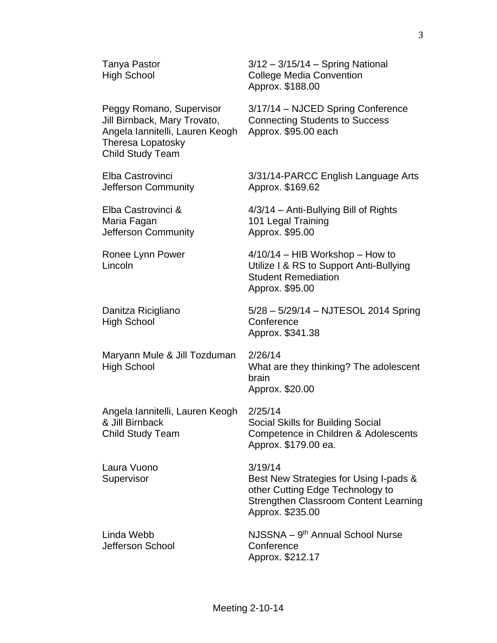Angela Iannitelli, Lauren Keogh Approx. \$95.00 each Theresa Lopatosky Child Study Team

Jefferson Community **Approx.** \$169.62

Maria Fagan 101 Legal Training Jefferson Community Approx. \$95.00

High School Conference

Maryann Mule & Jill Tozduman 2/26/14

Angela Iannitelli, Lauren Keogh 2/25/14 & Jill Birnback Social Skills for Building Social

Laura Vuono 3/19/14

Jefferson School Conference

Tanya Pastor 3/12 – 3/15/14 – Spring National High School College Media Convention Approx. \$188.00

Peggy Romano, Supervisor 3/17/14 – NJCED Spring Conference Jill Birnback, Mary Trovato, Connecting Students to Success

Elba Castrovinci 3/31/14-PARCC English Language Arts

Elba Castrovinci & 4/3/14 – Anti-Bullying Bill of Rights

Ronee Lynn Power 4/10/14 – HIB Workshop – How to Lincoln Utilize I & RS to Support Anti-Bullying Student Remediation Approx. \$95.00

Danitza Ricigliano 5/28 – 5/29/14 – NJTESOL 2014 Spring Approx. \$341.38

High School What are they thinking? The adolescent brain Approx. \$20.00

Child Study Team Competence in Children & Adolescents Approx. \$179.00 ea.

Supervisor **Best New Strategies for Using I-pads &** other Cutting Edge Technology to Strengthen Classroom Content Learning Approx. \$235.00

Linda Webb **NJSSNA** – 9<sup>th</sup> Annual School Nurse Approx. \$212.17